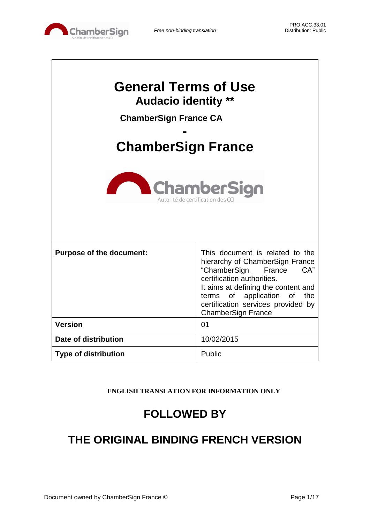

Г

| <b>General Terms of Use</b><br><b>Audacio identity **</b><br><b>ChamberSign France CA</b><br><b>ChamberSign France</b><br><b>ChamberSign</b><br>Autorité de certification des CC |                                                                                                                                                                                                                                                                            |  |  |
|----------------------------------------------------------------------------------------------------------------------------------------------------------------------------------|----------------------------------------------------------------------------------------------------------------------------------------------------------------------------------------------------------------------------------------------------------------------------|--|--|
| <b>Purpose of the document:</b>                                                                                                                                                  | This document is related to the<br>hierarchy of ChamberSign France<br>"ChamberSign<br>CA"<br>France<br>certification authorities.<br>It aims at defining the content and<br>terms of application of the<br>certification services provided by<br><b>ChamberSign France</b> |  |  |
| <b>Version</b>                                                                                                                                                                   | 01                                                                                                                                                                                                                                                                         |  |  |
| Date of distribution                                                                                                                                                             | 10/02/2015                                                                                                                                                                                                                                                                 |  |  |
| <b>Type of distribution</b>                                                                                                                                                      | Public                                                                                                                                                                                                                                                                     |  |  |

**ENGLISH TRANSLATION FOR INFORMATION ONLY**

# **FOLLOWED BY**

# **THE ORIGINAL BINDING FRENCH VERSION**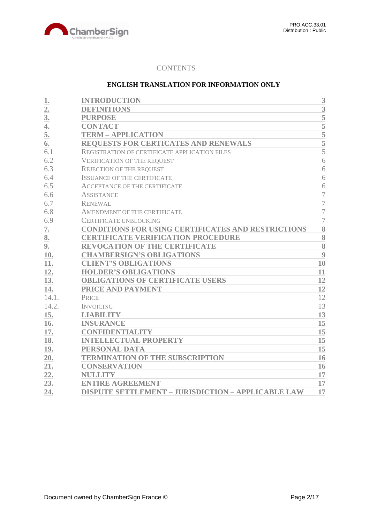

# **CONTENTS**

# **ENGLISH TRANSLATION FOR INFORMATION ONLY**

| 1.               | <b>INTRODUCTION</b>                                       | 3                  |
|------------------|-----------------------------------------------------------|--------------------|
| $\overline{2}$ . | <b>DEFINITIONS</b>                                        | 3                  |
| 3 <sub>l</sub>   | <b>PURPOSE</b>                                            | 5                  |
| 4.               | <b>CONTACT</b>                                            | $\overline{5}$     |
| 5.               | <b>TERM - APPLICATION</b>                                 |                    |
| 6.               | REQUESTS FOR CERTICATES AND RENEWALS                      | $\frac{5}{5}$      |
| 6.1              | REGISTRATION OF CERTIFICATE APPLICATION FILES             | $\overline{5}$     |
| 6.2              | <b>VERIFICATION OF THE REQUEST</b>                        | 6                  |
| 6.3              | <b>REJECTION OF THE REQUEST</b>                           | 6                  |
| 6.4              | <b>ISSUANCE OF THE CERTIFICATE</b>                        | 6                  |
| 6.5              | <b>ACCEPTANCE OF THE CERTIFICATE</b>                      | 6                  |
| 6.6              | <b>ASSISTANCE</b>                                         | 7                  |
| 6.7              | <b>RENEWAL</b>                                            | 7                  |
| 6.8              | AMENDMENT OF THE CERTIFICATE                              | $\overline{7}$     |
| 6.9              | CERTIFICATE UNBLOCKING                                    | $\overline{7}$     |
| 7.               | CONDITIONS FOR USING CERTIFICATES AND RESTRICTIONS        | 8                  |
| 8.               | <b>CERTIFICATE VERIFICATION PROCEDURE</b>                 | 8                  |
| 9.               | <b>REVOCATION OF THE CERTIFICATE</b>                      | $\overline{\bf 8}$ |
| 10.              | <b>CHAMBERSIGN'S OBLIGATIONS</b>                          | 9                  |
| 11.              | <b>CLIENT'S OBLIGATIONS</b>                               | 10                 |
| 12.              | <b>HOLDER'S OBLIGATIONS</b>                               | 11                 |
| 13.              | <b>OBLIGATIONS OF CERTIFICATE USERS</b>                   | 12                 |
| 14.              | PRICE AND PAYMENT                                         | 12                 |
| 14.1.            | <b>PRICE</b>                                              | 12                 |
| 14.2.            | <b>INVOICING</b>                                          | 13                 |
| 15.              | <b>LIABILITY</b>                                          | 13                 |
| 16.              | <b>INSURANCE</b>                                          | 15                 |
| 17.              | <b>CONFIDENTIALITY</b>                                    | 15                 |
| 18.              | <b>INTELLECTUAL PROPERTY</b>                              | 15                 |
| 19.              | PERSONAL DATA                                             | 15                 |
| 20.              | <b>TERMINATION OF THE SUBSCRIPTION</b>                    | 16                 |
| 21.              | <b>CONSERVATION</b>                                       | 16                 |
| 22.              | <b>NULLITY</b>                                            | 17                 |
| 23.              | <b>ENTIRE AGREEMENT</b>                                   | 17                 |
| 24.              | <b>DISPUTE SETTLEMENT - JURISDICTION - APPLICABLE LAW</b> | 17                 |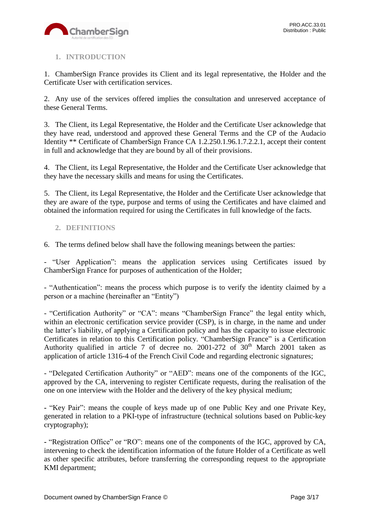

# <span id="page-2-0"></span>**1. INTRODUCTION**

1. ChamberSign France provides its Client and its legal representative, the Holder and the Certificate User with certification services.

2. Any use of the services offered implies the consultation and unreserved acceptance of these General Terms.

3. The Client, its Legal Representative, the Holder and the Certificate User acknowledge that they have read, understood and approved these General Terms and the CP of the Audacio Identity \*\* Certificate of ChamberSign France CA 1.2.250.1.96.1.7.2.2.1, accept their content in full and acknowledge that they are bound by all of their provisions.

4. The Client, its Legal Representative, the Holder and the Certificate User acknowledge that they have the necessary skills and means for using the Certificates.

5. The Client, its Legal Representative, the Holder and the Certificate User acknowledge that they are aware of the type, purpose and terms of using the Certificates and have claimed and obtained the information required for using the Certificates in full knowledge of the facts.

# <span id="page-2-1"></span>**2. DEFINITIONS**

6. The terms defined below shall have the following meanings between the parties:

- "User Application": means the application services using Certificates issued by ChamberSign France for purposes of authentication of the Holder;

- "Authentication": means the process which purpose is to verify the identity claimed by a person or a machine (hereinafter an "Entity")

- "Certification Authority" or "CA": means "ChamberSign France" the legal entity which, within an electronic certification service provider (CSP), is in charge, in the name and under the latter's liability, of applying a Certification policy and has the capacity to issue electronic Certificates in relation to this Certification policy. "ChamberSign France" is a Certification Authority qualified in article 7 of decree no. 2001-272 of  $30<sup>th</sup>$  March 2001 taken as application of article 1316-4 of the French Civil Code and regarding electronic signatures;

- "Delegated Certification Authority" or "AED": means one of the components of the IGC, approved by the CA, intervening to register Certificate requests, during the realisation of the one on one interview with the Holder and the delivery of the key physical medium;

**-** "Key Pair": means the couple of keys made up of one Public Key and one Private Key, generated in relation to a PKI-type of infrastructure (technical solutions based on Public-key cryptography);

**-** "Registration Office" or "RO": means one of the components of the IGC, approved by CA, intervening to check the identification information of the future Holder of a Certificate as well as other specific attributes, before transferring the corresponding request to the appropriate KMI department;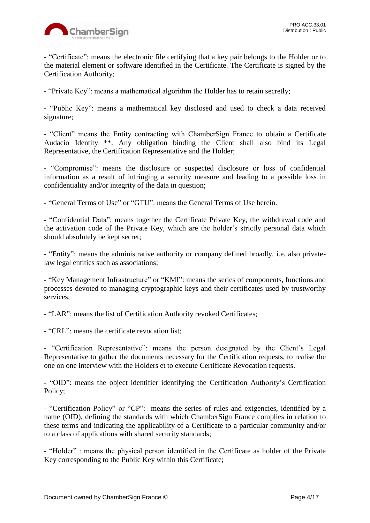

- "Certificate": means the electronic file certifying that a key pair belongs to the Holder or to the material element or software identified in the Certificate. The Certificate is signed by the Certification Authority;

- "Private Key": means a mathematical algorithm the Holder has to retain secretly;

- "Public Key": means a mathematical key disclosed and used to check a data received signature;

- "Client" means the Entity contracting with ChamberSign France to obtain a Certificate Audacio Identity \*\*. Any obligation binding the Client shall also bind its Legal Representative, the Certification Representative and the Holder;

- "Compromise": means the disclosure or suspected disclosure or loss of confidential information as a result of infringing a security measure and leading to a possible loss in confidentiality and/or integrity of the data in question;

- "General Terms of Use" or "GTU": means the General Terms of Use herein.

**-** "Confidential Data": means together the Certificate Private Key, the withdrawal code and the activation code of the Private Key, which are the holder's strictly personal data which should absolutely be kept secret;

- "Entity": means the administrative authority or company defined broadly, i.e. also privatelaw legal entities such as associations;

- "Key Management Infrastructure" or "KMI": means the series of components, functions and processes devoted to managing cryptographic keys and their certificates used by trustworthy services;

- "LAR": means the list of Certification Authority revoked Certificates;

- "CRL": means the certificate revocation list;

- "Certification Representative": means the person designated by the Client's Legal Representative to gather the documents necessary for the Certification requests, to realise the one on one interview with the Holders et to execute Certificate Revocation requests.

- "OID": means the object identifier identifying the Certification Authority's Certification Policy;

**-** "Certification Policy" or "CP": means the series of rules and exigencies, identified by a name (OID), defining the standards with which ChamberSign France complies in relation to these terms and indicating the applicability of a Certificate to a particular community and/or to a class of applications with shared security standards;

- "Holder" : means the physical person identified in the Certificate as holder of the Private Key corresponding to the Public Key within this Certificate;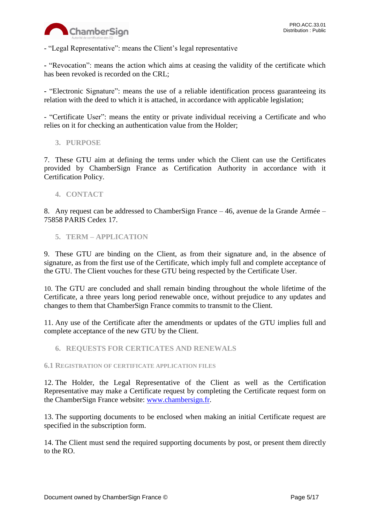

- "Legal Representative": means the Client's legal representative

**-** "Revocation": means the action which aims at ceasing the validity of the certificate which has been revoked is recorded on the CRL;

**-** "Electronic Signature": means the use of a reliable identification process guaranteeing its relation with the deed to which it is attached, in accordance with applicable legislation;

- "Certificate User": means the entity or private individual receiving a Certificate and who relies on it for checking an authentication value from the Holder;

<span id="page-4-0"></span>**3. PURPOSE**

7. These GTU aim at defining the terms under which the Client can use the Certificates provided by ChamberSign France as Certification Authority in accordance with it Certification Policy.

<span id="page-4-1"></span>**4. CONTACT**

8. Any request can be addressed to ChamberSign France – 46, avenue de la Grande Armée – 75858 PARIS Cedex 17.

<span id="page-4-2"></span>**5. TERM – APPLICATION**

9. These GTU are binding on the Client, as from their signature and, in the absence of signature, as from the first use of the Certificate, which imply full and complete acceptance of the GTU. The Client vouches for these GTU being respected by the Certificate User.

10. The GTU are concluded and shall remain binding throughout the whole lifetime of the Certificate, a three years long period renewable once, without prejudice to any updates and changes to them that ChamberSign France commits to transmit to the Client.

11. Any use of the Certificate after the amendments or updates of the GTU implies full and complete acceptance of the new GTU by the Client.

<span id="page-4-3"></span>**6. REQUESTS FOR CERTICATES AND RENEWALS**

<span id="page-4-4"></span>**6.1 REGISTRATION OF CERTIFICATE APPLICATION FILES**

12. The Holder, the Legal Representative of the Client as well as the Certification Representative may make a Certificate request by completing the Certificate request form on the ChamberSign France website: [www.chambersign.fr.](http://www.chambersign.fr/)

13. The supporting documents to be enclosed when making an initial Certificate request are specified in the subscription form.

14. The Client must send the required supporting documents by post, or present them directly to the RO.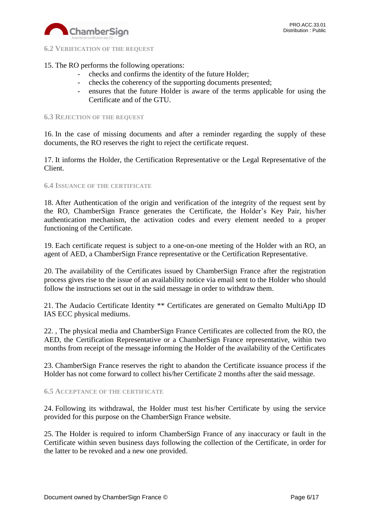

<span id="page-5-0"></span>**6.2 VERIFICATION OF THE REQUEST**

# 15. The RO performs the following operations:

- checks and confirms the identity of the future Holder;
- checks the coherency of the supporting documents presented;
- ensures that the future Holder is aware of the terms applicable for using the Certificate and of the GTU.

### <span id="page-5-1"></span>**6.3 REJECTION OF THE REQUEST**

16. In the case of missing documents and after a reminder regarding the supply of these documents, the RO reserves the right to reject the certificate request.

17. It informs the Holder, the Certification Representative or the Legal Representative of the Client.

#### <span id="page-5-2"></span>**6.4 ISSUANCE OF THE CERTIFICATE**

18. After Authentication of the origin and verification of the integrity of the request sent by the RO, ChamberSign France generates the Certificate, the Holder's Key Pair, his/her authentication mechanism, the activation codes and every element needed to a proper functioning of the Certificate.

19. Each certificate request is subject to a one-on-one meeting of the Holder with an RO, an agent of AED, a ChamberSign France representative or the Certification Representative.

20. The availability of the Certificates issued by ChamberSign France after the registration process gives rise to the issue of an availability notice via email sent to the Holder who should follow the instructions set out in the said message in order to withdraw them.

21. The Audacio Certificate Identity \*\* Certificates are generated on Gemalto MultiApp ID IAS ECC physical mediums.

22. , The physical media and ChamberSign France Certificates are collected from the RO, the AED, the Certification Representative or a ChamberSign France representative, within two months from receipt of the message informing the Holder of the availability of the Certificates

23. ChamberSign France reserves the right to abandon the Certificate issuance process if the Holder has not come forward to collect his/her Certificate 2 months after the said message.

## <span id="page-5-3"></span>**6.5 ACCEPTANCE OF THE CERTIFICATE**

24. Following its withdrawal, the Holder must test his/her Certificate by using the service provided for this purpose on the ChamberSign France website.

25. The Holder is required to inform ChamberSign France of any inaccuracy or fault in the Certificate within seven business days following the collection of the Certificate, in order for the latter to be revoked and a new one provided.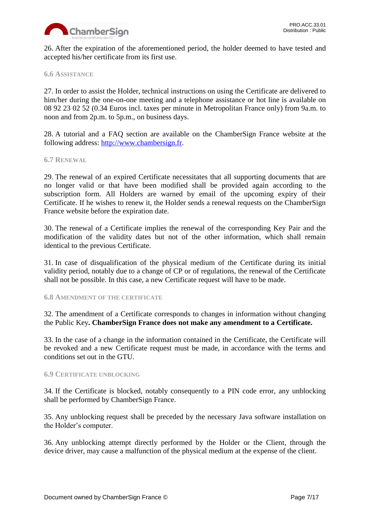

26. After the expiration of the aforementioned period, the holder deemed to have tested and accepted his/her certificate from its first use.

## <span id="page-6-0"></span>**6.6 ASSISTANCE**

27. In order to assist the Holder, technical instructions on using the Certificate are delivered to him/her during the one-on-one meeting and a telephone assistance or hot line is available on 08 92 23 02 52 (0.34 Euros incl. taxes per minute in Metropolitan France only) from 9a.m. to noon and from 2p.m. to 5p.m., on business days.

28. A tutorial and a FAQ section are available on the ChamberSign France website at the following address: [http://www.chambersign.fr.](http://www.chambersign.fr/)

#### <span id="page-6-1"></span>**6.7 RENEWAL**

29. The renewal of an expired Certificate necessitates that all supporting documents that are no longer valid or that have been modified shall be provided again according to the subscription form. All Holders are warned by email of the upcoming expiry of their Certificate. If he wishes to renew it, the Holder sends a renewal requests on the ChamberSign France website before the expiration date.

30. The renewal of a Certificate implies the renewal of the corresponding Key Pair and the modification of the validity dates but not of the other information, which shall remain identical to the previous Certificate.

31. In case of disqualification of the physical medium of the Certificate during its initial validity period, notably due to a change of CP or of regulations, the renewal of the Certificate shall not be possible. In this case, a new Certificate request will have to be made.

#### <span id="page-6-2"></span>**6.8 AMENDMENT OF THE CERTIFICATE**

32. The amendment of a Certificate corresponds to changes in information without changing the Public Key**. ChamberSign France does not make any amendment to a Certificate.**

33. In the case of a change in the information contained in the Certificate, the Certificate will be revoked and a new Certificate request must be made, in accordance with the terms and conditions set out in the GTU.

#### <span id="page-6-3"></span>**6.9 CERTIFICATE UNBLOCKING**

34. If the Certificate is blocked, notably consequently to a PIN code error, any unblocking shall be performed by ChamberSign France.

35. Any unblocking request shall be preceded by the necessary Java software installation on the Holder's computer.

36. Any unblocking attempt directly performed by the Holder or the Client, through the device driver, may cause a malfunction of the physical medium at the expense of the client.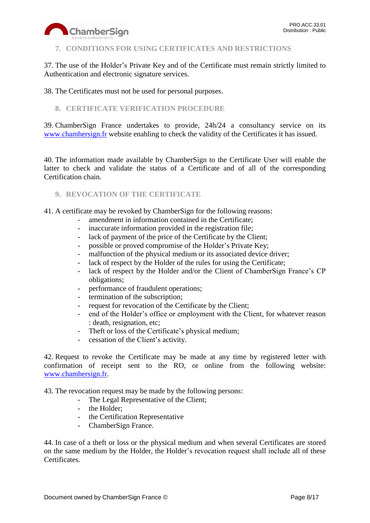

# <span id="page-7-0"></span>**7. CONDITIONS FOR USING CERTIFICATES AND RESTRICTIONS**

37. The use of the Holder's Private Key and of the Certificate must remain strictly limited to Authentication and electronic signature services.

38. The Certificates must not be used for personal purposes.

# <span id="page-7-1"></span>**8. CERTIFICATE VERIFICATION PROCEDURE**

39. ChamberSign France undertakes to provide, 24h/24 a consultancy service on its [www.chambersign.fr](http://www.chambersign.fr/) website enabling to check the validity of the Certificates it has issued.

40. The information made available by ChamberSign to the Certificate User will enable the latter to check and validate the status of a Certificate and of all of the corresponding Certification chain.

# <span id="page-7-2"></span>**9. REVOCATION OF THE CERTIFICATE**

41. A certificate may be revoked by ChamberSign for the following reasons:

- amendment in information contained in the Certificate;
- inaccurate information provided in the registration file;
- lack of payment of the price of the Certificate by the Client;
- possible or proved compromise of the Holder's Private Key;
- malfunction of the physical medium or its associated device driver;
- lack of respect by the Holder of the rules for using the Certificate;
- lack of respect by the Holder and/or the Client of ChamberSign France's CP obligations;
- performance of fraudulent operations;
- termination of the subscription;
- request for revocation of the Certificate by the Client;
- end of the Holder's office or employment with the Client, for whatever reason : death, resignation, etc;
- Theft or loss of the Certificate's physical medium;
- cessation of the Client's activity.

42. Request to revoke the Certificate may be made at any time by registered letter with confirmation of receipt sent to the RO, or online from the following website: [www.chambersign.fr.](http://www.chambersign.fr/)

43. The revocation request may be made by the following persons:

- The Legal Representative of the Client;
- the Holder;
- the Certification Representative
- ChamberSign France.

44. In case of a theft or loss or the physical medium and when several Certificates are stored on the same medium by the Holder, the Holder's revocation request shall include all of these Certificates.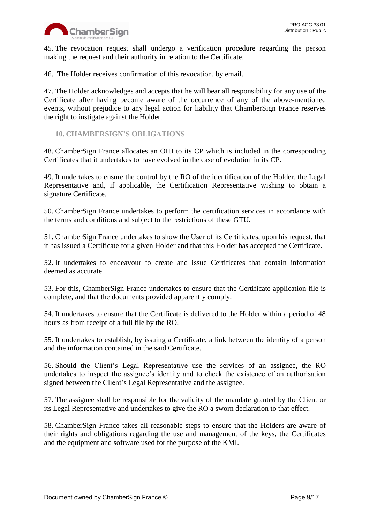

45. The revocation request shall undergo a verification procedure regarding the person making the request and their authority in relation to the Certificate.

46. The Holder receives confirmation of this revocation, by email.

47. The Holder acknowledges and accepts that he will bear all responsibility for any use of the Certificate after having become aware of the occurrence of any of the above-mentioned events, without prejudice to any legal action for liability that ChamberSign France reserves the right to instigate against the Holder.

<span id="page-8-0"></span>**10. CHAMBERSIGN'S OBLIGATIONS**

48. ChamberSign France allocates an OID to its CP which is included in the corresponding Certificates that it undertakes to have evolved in the case of evolution in its CP.

49. It undertakes to ensure the control by the RO of the identification of the Holder, the Legal Representative and, if applicable, the Certification Representative wishing to obtain a signature Certificate.

50. ChamberSign France undertakes to perform the certification services in accordance with the terms and conditions and subject to the restrictions of these GTU.

51. ChamberSign France undertakes to show the User of its Certificates, upon his request, that it has issued a Certificate for a given Holder and that this Holder has accepted the Certificate.

52. It undertakes to endeavour to create and issue Certificates that contain information deemed as accurate.

53. For this, ChamberSign France undertakes to ensure that the Certificate application file is complete, and that the documents provided apparently comply.

54. It undertakes to ensure that the Certificate is delivered to the Holder within a period of 48 hours as from receipt of a full file by the RO.

55. It undertakes to establish, by issuing a Certificate, a link between the identity of a person and the information contained in the said Certificate.

56. Should the Client's Legal Representative use the services of an assignee, the RO undertakes to inspect the assignee's identity and to check the existence of an authorisation signed between the Client's Legal Representative and the assignee.

57. The assignee shall be responsible for the validity of the mandate granted by the Client or its Legal Representative and undertakes to give the RO a sworn declaration to that effect.

58. ChamberSign France takes all reasonable steps to ensure that the Holders are aware of their rights and obligations regarding the use and management of the keys, the Certificates and the equipment and software used for the purpose of the KMI.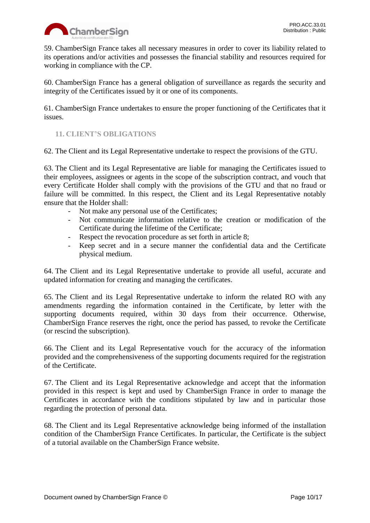

59. ChamberSign France takes all necessary measures in order to cover its liability related to its operations and/or activities and possesses the financial stability and resources required for working in compliance with the CP.

60. ChamberSign France has a general obligation of surveillance as regards the security and integrity of the Certificates issued by it or one of its components.

61. ChamberSign France undertakes to ensure the proper functioning of the Certificates that it issues.

# <span id="page-9-0"></span>**11. CLIENT'S OBLIGATIONS**

62. The Client and its Legal Representative undertake to respect the provisions of the GTU.

63. The Client and its Legal Representative are liable for managing the Certificates issued to their employees, assignees or agents in the scope of the subscription contract, and vouch that every Certificate Holder shall comply with the provisions of the GTU and that no fraud or failure will be committed. In this respect, the Client and its Legal Representative notably ensure that the Holder shall:

- Not make any personal use of the Certificates;
- Not communicate information relative to the creation or modification of the Certificate during the lifetime of the Certificate;
- Respect the revocation procedure as set forth in article 8;
- Keep secret and in a secure manner the confidential data and the Certificate physical medium.

64. The Client and its Legal Representative undertake to provide all useful, accurate and updated information for creating and managing the certificates.

65. The Client and its Legal Representative undertake to inform the related RO with any amendments regarding the information contained in the Certificate, by letter with the supporting documents required, within 30 days from their occurrence. Otherwise, ChamberSign France reserves the right, once the period has passed, to revoke the Certificate (or rescind the subscription).

66. The Client and its Legal Representative vouch for the accuracy of the information provided and the comprehensiveness of the supporting documents required for the registration of the Certificate.

67. The Client and its Legal Representative acknowledge and accept that the information provided in this respect is kept and used by ChamberSign France in order to manage the Certificates in accordance with the conditions stipulated by law and in particular those regarding the protection of personal data.

68. The Client and its Legal Representative acknowledge being informed of the installation condition of the ChamberSign France Certificates. In particular, the Certificate is the subject of a tutorial available on the ChamberSign France website.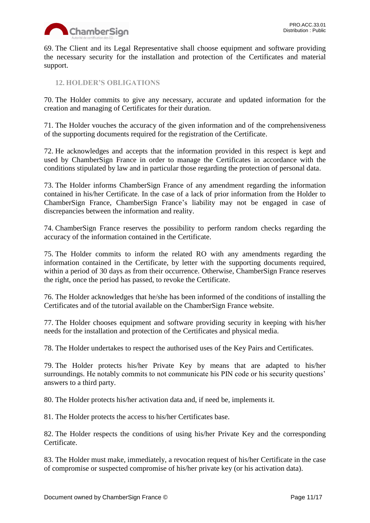

69. The Client and its Legal Representative shall choose equipment and software providing the necessary security for the installation and protection of the Certificates and material support.

<span id="page-10-0"></span>**12. HOLDER'S OBLIGATIONS**

70. The Holder commits to give any necessary, accurate and updated information for the creation and managing of Certificates for their duration.

71. The Holder vouches the accuracy of the given information and of the comprehensiveness of the supporting documents required for the registration of the Certificate.

72. He acknowledges and accepts that the information provided in this respect is kept and used by ChamberSign France in order to manage the Certificates in accordance with the conditions stipulated by law and in particular those regarding the protection of personal data.

73. The Holder informs ChamberSign France of any amendment regarding the information contained in his/her Certificate. In the case of a lack of prior information from the Holder to ChamberSign France, ChamberSign France's liability may not be engaged in case of discrepancies between the information and reality.

74. ChamberSign France reserves the possibility to perform random checks regarding the accuracy of the information contained in the Certificate.

75. The Holder commits to inform the related RO with any amendments regarding the information contained in the Certificate, by letter with the supporting documents required, within a period of 30 days as from their occurrence. Otherwise, ChamberSign France reserves the right, once the period has passed, to revoke the Certificate.

76. The Holder acknowledges that he/she has been informed of the conditions of installing the Certificates and of the tutorial available on the ChamberSign France website.

77. The Holder chooses equipment and software providing security in keeping with his/her needs for the installation and protection of the Certificates and physical media.

78. The Holder undertakes to respect the authorised uses of the Key Pairs and Certificates.

79. The Holder protects his/her Private Key by means that are adapted to his/her surroundings. He notably commits to not communicate his PIN code or his security questions' answers to a third party.

80. The Holder protects his/her activation data and, if need be, implements it.

81. The Holder protects the access to his/her Certificates base.

82. The Holder respects the conditions of using his/her Private Key and the corresponding Certificate.

83. The Holder must make, immediately, a revocation request of his/her Certificate in the case of compromise or suspected compromise of his/her private key (or his activation data).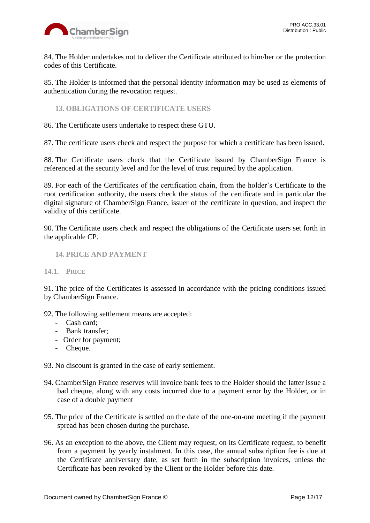

84. The Holder undertakes not to deliver the Certificate attributed to him/her or the protection codes of this Certificate.

85. The Holder is informed that the personal identity information may be used as elements of authentication during the revocation request.

<span id="page-11-0"></span>**13. OBLIGATIONS OF CERTIFICATE USERS**

86. The Certificate users undertake to respect these GTU.

87. The certificate users check and respect the purpose for which a certificate has been issued.

88. The Certificate users check that the Certificate issued by ChamberSign France is referenced at the security level and for the level of trust required by the application.

89. For each of the Certificates of the certification chain, from the holder's Certificate to the root certification authority, the users check the status of the certificate and in particular the digital signature of ChamberSign France, issuer of the certificate in question, and inspect the validity of this certificate.

90. The Certificate users check and respect the obligations of the Certificate users set forth in the applicable CP.

## <span id="page-11-1"></span>**14. PRICE AND PAYMENT**

## <span id="page-11-2"></span>**14.1. PRICE**

91. The price of the Certificates is assessed in accordance with the pricing conditions issued by ChamberSign France.

- 92. The following settlement means are accepted:
	- Cash card;
	- Bank transfer;
	- Order for payment;
	- Cheque.

93. No discount is granted in the case of early settlement.

- 94. ChamberSign France reserves will invoice bank fees to the Holder should the latter issue a bad cheque, along with any costs incurred due to a payment error by the Holder, or in case of a double payment
- 95. The price of the Certificate is settled on the date of the one-on-one meeting if the payment spread has been chosen during the purchase.
- 96. As an exception to the above, the Client may request, on its Certificate request, to benefit from a payment by yearly instalment. In this case, the annual subscription fee is due at the Certificate anniversary date, as set forth in the subscription invoices, unless the Certificate has been revoked by the Client or the Holder before this date.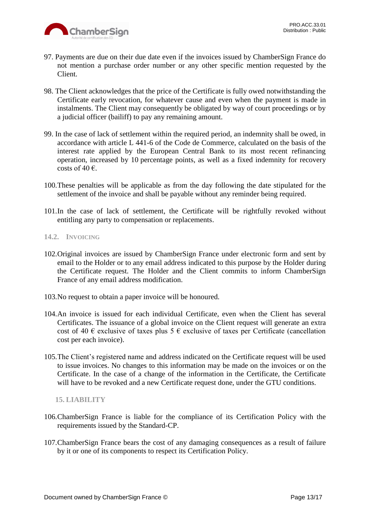

- 97. Payments are due on their due date even if the invoices issued by ChamberSign France do not mention a purchase order number or any other specific mention requested by the Client.
- 98. The Client acknowledges that the price of the Certificate is fully owed notwithstanding the Certificate early revocation, for whatever cause and even when the payment is made in instalments. The Client may consequently be obligated by way of court proceedings or by a judicial officer (bailiff) to pay any remaining amount.
- 99. In the case of lack of settlement within the required period, an indemnity shall be owed, in accordance with article L 441-6 of the Code de Commerce, calculated on the basis of the interest rate applied by the European Central Bank to its most recent refinancing operation, increased by 10 percentage points, as well as a fixed indemnity for recovery costs of 40  $\epsilon$ .
- 100.These penalties will be applicable as from the day following the date stipulated for the settlement of the invoice and shall be payable without any reminder being required.
- 101.In the case of lack of settlement, the Certificate will be rightfully revoked without entitling any party to compensation or replacements.

# <span id="page-12-0"></span>**14.2. INVOICING**

- 102.Original invoices are issued by ChamberSign France under electronic form and sent by email to the Holder or to any email address indicated to this purpose by the Holder during the Certificate request. The Holder and the Client commits to inform ChamberSign France of any email address modification.
- 103.No request to obtain a paper invoice will be honoured.
- 104.An invoice is issued for each individual Certificate, even when the Client has several Certificates. The issuance of a global invoice on the Client request will generate an extra cost of 40  $\epsilon$  exclusive of taxes plus 5  $\epsilon$  exclusive of taxes per Certificate (cancellation cost per each invoice).
- 105.The Client's registered name and address indicated on the Certificate request will be used to issue invoices. No changes to this information may be made on the invoices or on the Certificate. In the case of a change of the information in the Certificate, the Certificate will have to be revoked and a new Certificate request done, under the GTU conditions.

# <span id="page-12-1"></span>**15. LIABILITY**

- 106.ChamberSign France is liable for the compliance of its Certification Policy with the requirements issued by the Standard-CP.
- 107.ChamberSign France bears the cost of any damaging consequences as a result of failure by it or one of its components to respect its Certification Policy.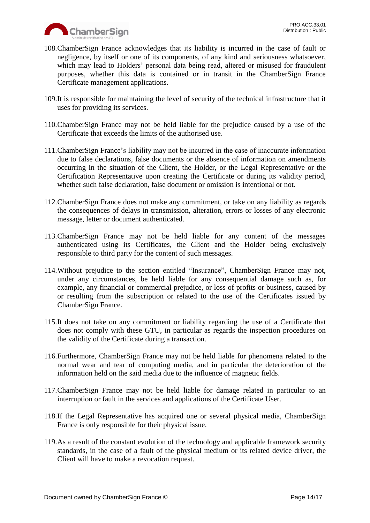

- 108.ChamberSign France acknowledges that its liability is incurred in the case of fault or negligence, by itself or one of its components, of any kind and seriousness whatsoever, which may lead to Holders' personal data being read, altered or misused for fraudulent purposes, whether this data is contained or in transit in the ChamberSign France Certificate management applications.
- 109.It is responsible for maintaining the level of security of the technical infrastructure that it uses for providing its services.
- 110.ChamberSign France may not be held liable for the prejudice caused by a use of the Certificate that exceeds the limits of the authorised use.
- 111.ChamberSign France's liability may not be incurred in the case of inaccurate information due to false declarations, false documents or the absence of information on amendments occurring in the situation of the Client, the Holder, or the Legal Representative or the Certification Representative upon creating the Certificate or during its validity period, whether such false declaration, false document or omission is intentional or not.
- 112.ChamberSign France does not make any commitment, or take on any liability as regards the consequences of delays in transmission, alteration, errors or losses of any electronic message, letter or document authenticated.
- 113.ChamberSign France may not be held liable for any content of the messages authenticated using its Certificates, the Client and the Holder being exclusively responsible to third party for the content of such messages.
- 114.Without prejudice to the section entitled "Insurance", ChamberSign France may not, under any circumstances, be held liable for any consequential damage such as, for example, any financial or commercial prejudice, or loss of profits or business, caused by or resulting from the subscription or related to the use of the Certificates issued by ChamberSign France.
- 115.It does not take on any commitment or liability regarding the use of a Certificate that does not comply with these GTU, in particular as regards the inspection procedures on the validity of the Certificate during a transaction.
- 116.Furthermore, ChamberSign France may not be held liable for phenomena related to the normal wear and tear of computing media, and in particular the deterioration of the information held on the said media due to the influence of magnetic fields.
- 117.ChamberSign France may not be held liable for damage related in particular to an interruption or fault in the services and applications of the Certificate User.
- 118.If the Legal Representative has acquired one or several physical media, ChamberSign France is only responsible for their physical issue.
- 119.As a result of the constant evolution of the technology and applicable framework security standards, in the case of a fault of the physical medium or its related device driver, the Client will have to make a revocation request.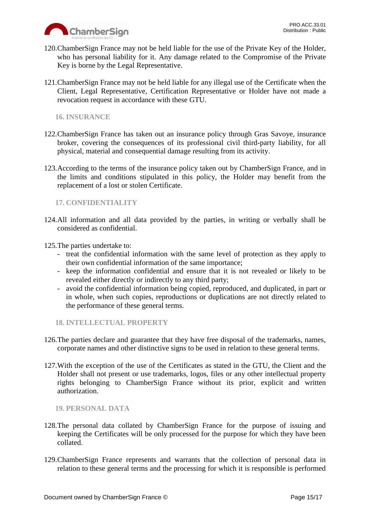

- 120.ChamberSign France may not be held liable for the use of the Private Key of the Holder, who has personal liability for it. Any damage related to the Compromise of the Private Key is borne by the Legal Representative.
- 121.ChamberSign France may not be held liable for any illegal use of the Certificate when the Client, Legal Representative, Certification Representative or Holder have not made a revocation request in accordance with these GTU.

<span id="page-14-0"></span>**16. INSURANCE**

- 122.ChamberSign France has taken out an insurance policy through Gras Savoye, insurance broker, covering the consequences of its professional civil third-party liability, for all physical, material and consequential damage resulting from its activity.
- 123.According to the terms of the insurance policy taken out by ChamberSign France, and in the limits and conditions stipulated in this policy, the Holder may benefit from the replacement of a lost or stolen Certificate.

# <span id="page-14-1"></span>**17. CONFIDENTIALITY**

- 124.All information and all data provided by the parties, in writing or verbally shall be considered as confidential.
- 125.The parties undertake to:
	- treat the confidential information with the same level of protection as they apply to their own confidential information of the same importance;
	- keep the information confidential and ensure that it is not revealed or likely to be revealed either directly or indirectly to any third party;
	- avoid the confidential information being copied, reproduced, and duplicated, in part or in whole, when such copies, reproductions or duplications are not directly related to the performance of these general terms.

<span id="page-14-2"></span>**18. INTELLECTUAL PROPERTY**

- 126.The parties declare and guarantee that they have free disposal of the trademarks, names, corporate names and other distinctive signs to be used in relation to these general terms.
- 127.With the exception of the use of the Certificates as stated in the GTU, the Client and the Holder shall not present or use trademarks, logos, files or any other intellectual property rights belonging to ChamberSign France without its prior, explicit and written authorization.

<span id="page-14-3"></span>**19. PERSONAL DATA**

- 128.The personal data collated by ChamberSign France for the purpose of issuing and keeping the Certificates will be only processed for the purpose for which they have been collated.
- 129.ChamberSign France represents and warrants that the collection of personal data in relation to these general terms and the processing for which it is responsible is performed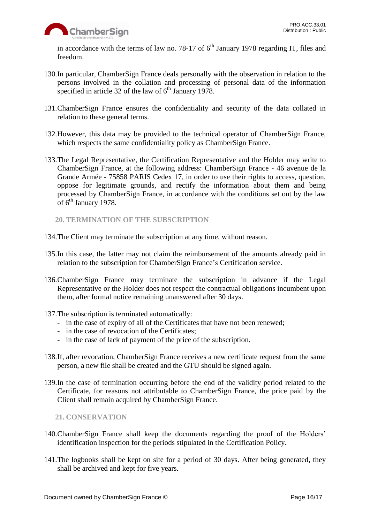

in accordance with the terms of law no. 78-17 of  $6<sup>th</sup>$  January 1978 regarding IT, files and freedom.

- 130.In particular, ChamberSign France deals personally with the observation in relation to the persons involved in the collation and processing of personal data of the information specified in article 32 of the law of  $6<sup>th</sup>$  January 1978.
- 131.ChamberSign France ensures the confidentiality and security of the data collated in relation to these general terms.
- 132.However, this data may be provided to the technical operator of ChamberSign France, which respects the same confidentiality policy as ChamberSign France.
- 133.The Legal Representative, the Certification Representative and the Holder may write to ChamberSign France, at the following address: ChamberSign France - 46 avenue de la Grande Armée - 75858 PARIS Cedex 17, in order to use their rights to access, question, oppose for legitimate grounds, and rectify the information about them and being processed by ChamberSign France, in accordance with the conditions set out by the law of 6<sup>th</sup> January 1978.
	- **20. TERMINATION OF THE SUBSCRIPTION**
- <span id="page-15-0"></span>134.The Client may terminate the subscription at any time, without reason.
- 135.In this case, the latter may not claim the reimbursement of the amounts already paid in relation to the subscription for ChamberSign France's Certification service.
- 136.ChamberSign France may terminate the subscription in advance if the Legal Representative or the Holder does not respect the contractual obligations incumbent upon them, after formal notice remaining unanswered after 30 days.
- 137.The subscription is terminated automatically:
	- in the case of expiry of all of the Certificates that have not been renewed;
	- in the case of revocation of the Certificates;
	- in the case of lack of payment of the price of the subscription.
- 138.If, after revocation, ChamberSign France receives a new certificate request from the same person, a new file shall be created and the GTU should be signed again.
- 139.In the case of termination occurring before the end of the validity period related to the Certificate, for reasons not attributable to ChamberSign France, the price paid by the Client shall remain acquired by ChamberSign France.

<span id="page-15-1"></span>**21. CONSERVATION**

- 140.ChamberSign France shall keep the documents regarding the proof of the Holders' identification inspection for the periods stipulated in the Certification Policy.
- 141.The logbooks shall be kept on site for a period of 30 days. After being generated, they shall be archived and kept for five years.